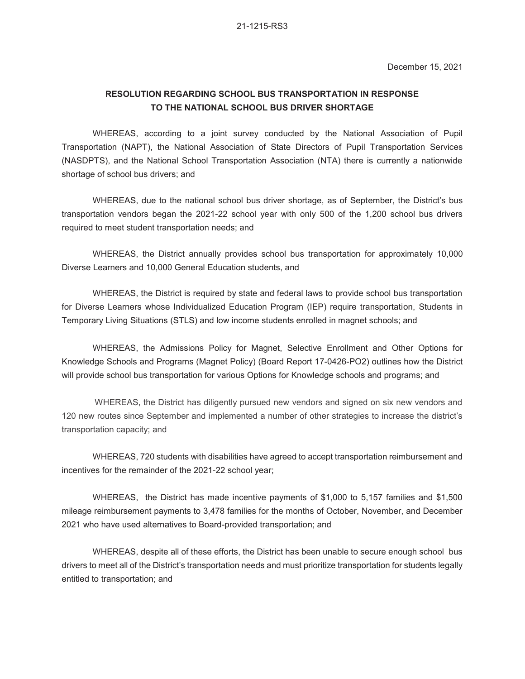## **RESOLUTION REGARDING SCHOOL BUS TRANSPORTATION IN RESPONSE TO THE NATIONAL SCHOOL BUS DRIVER SHORTAGE**

WHEREAS, according to a joint survey conducted by the National Association of Pupil Transportation (NAPT), the National Association of State Directors of Pupil Transportation Services (NASDPTS), and the National School Transportation Association (NTA) there is currently a nationwide shortage of school bus drivers; and

WHEREAS, due to the national school bus driver shortage, as of September, the District's bus transportation vendors began the 2021-22 school year with only 500 of the 1,200 school bus drivers required to meet student transportation needs; and

WHEREAS, the District annually provides school bus transportation for approximately 10,000 Diverse Learners and 10,000 General Education students, and

WHEREAS, the District is required by state and federal laws to provide school bus transportation for Diverse Learners whose Individualized Education Program (IEP) require transportation, Students in Temporary Living Situations (STLS) and low income students enrolled in magnet schools; and

WHEREAS, the Admissions Policy for Magnet, Selective Enrollment and Other Options for Knowledge Schools and Programs (Magnet Policy) (Board Report 17-0426-PO2) outlines how the District will provide school bus transportation for various Options for Knowledge schools and programs; and

WHEREAS, the District has diligently pursued new vendors and signed on six new vendors and 120 new routes since September and implemented a number of other strategies to increase the district's transportation capacity; and

WHEREAS, 720 students with disabilities have agreed to accept transportation reimbursement and incentives for the remainder of the 2021-22 school year;

WHEREAS, the District has made incentive payments of \$1,000 to 5,157 families and \$1,500 mileage reimbursement payments to 3,478 families for the months of October, November, and December 2021 who have used alternatives to Board-provided transportation; and

WHEREAS, despite all of these efforts, the District has been unable to secure enough school bus drivers to meet all of the District's transportation needs and must prioritize transportation for students legally entitled to transportation; and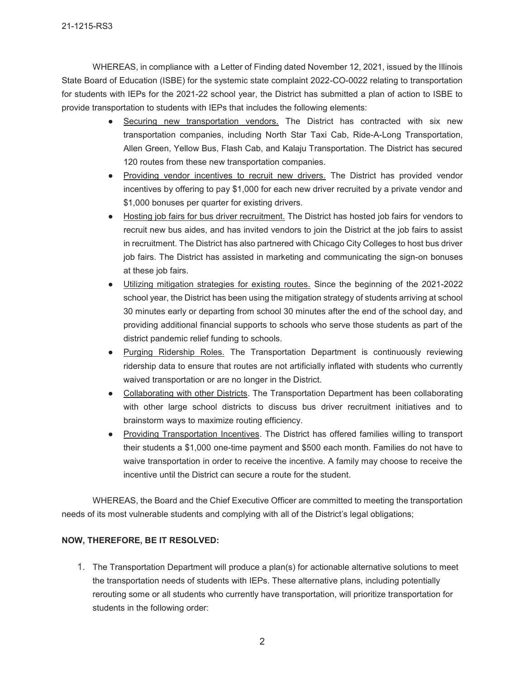WHEREAS, in compliance with a Letter of Finding dated November 12, 2021, issued by the Illinois State Board of Education (ISBE) for the systemic state complaint 2022-CO-0022 relating to transportation for students with IEPs for the 2021-22 school year, the District has submitted a plan of action to ISBE to provide transportation to students with IEPs that includes the following elements:

- Securing new transportation vendors. The District has contracted with six new transportation companies, including North Star Taxi Cab, Ride-A-Long Transportation, Allen Green, Yellow Bus, Flash Cab, and Kalaju Transportation. The District has secured 120 routes from these new transportation companies.
- Providing vendor incentives to recruit new drivers. The District has provided vendor incentives by offering to pay \$1,000 for each new driver recruited by a private vendor and \$1,000 bonuses per quarter for existing drivers.
- Hosting job fairs for bus driver recruitment. The District has hosted job fairs for vendors to recruit new bus aides, and has invited vendors to join the District at the job fairs to assist in recruitment. The District has also partnered with Chicago City Colleges to host bus driver job fairs. The District has assisted in marketing and communicating the sign-on bonuses at these job fairs.
- Utilizing mitigation strategies for existing routes. Since the beginning of the 2021-2022 school year, the District has been using the mitigation strategy of students arriving at school 30 minutes early or departing from school 30 minutes after the end of the school day, and providing additional financial supports to schools who serve those students as part of the district pandemic relief funding to schools.
- Purging Ridership Roles. The Transportation Department is continuously reviewing ridership data to ensure that routes are not artificially inflated with students who currently waived transportation or are no longer in the District.
- Collaborating with other Districts. The Transportation Department has been collaborating with other large school districts to discuss bus driver recruitment initiatives and to brainstorm ways to maximize routing efficiency.
- Providing Transportation Incentives. The District has offered families willing to transport their students a \$1,000 one-time payment and \$500 each month. Families do not have to waive transportation in order to receive the incentive. A family may choose to receive the incentive until the District can secure a route for the student.

WHEREAS, the Board and the Chief Executive Officer are committed to meeting the transportation needs of its most vulnerable students and complying with all of the District's legal obligations;

## **NOW, THEREFORE, BE IT RESOLVED:**

1. The Transportation Department will produce a plan(s) for actionable alternative solutions to meet the transportation needs of students with IEPs. These alternative plans, including potentially rerouting some or all students who currently have transportation, will prioritize transportation for students in the following order: